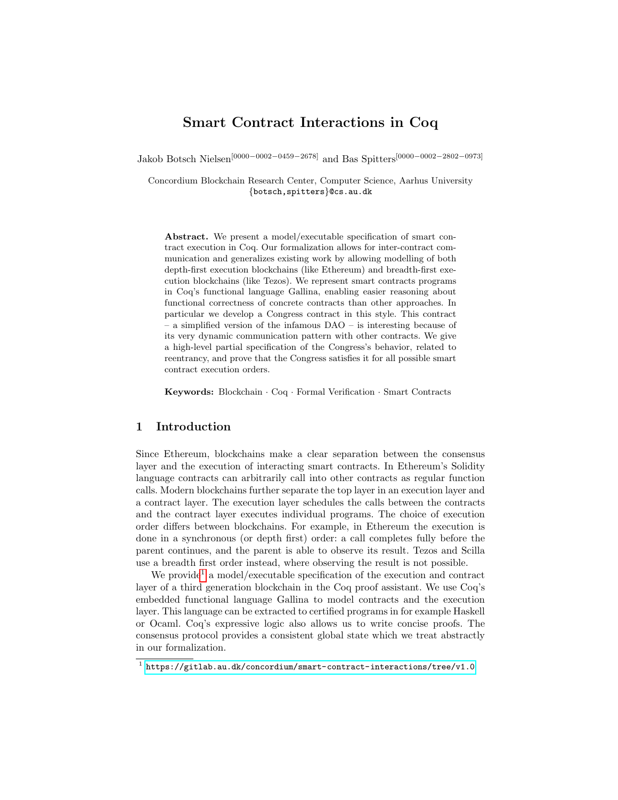# Smart Contract Interactions in Coq

Jakob Botsch Nielsen[0000−0002−0459−2678] and Bas Spitters[0000−0002−2802−0973]

Concordium Blockchain Research Center, Computer Science, Aarhus University {botsch,spitters}@cs.au.dk

Abstract. We present a model/executable specification of smart contract execution in Coq. Our formalization allows for inter-contract communication and generalizes existing work by allowing modelling of both depth-first execution blockchains (like Ethereum) and breadth-first execution blockchains (like Tezos). We represent smart contracts programs in Coq's functional language Gallina, enabling easier reasoning about functional correctness of concrete contracts than other approaches. In particular we develop a Congress contract in this style. This contract – a simplified version of the infamous DAO – is interesting because of its very dynamic communication pattern with other contracts. We give a high-level partial specification of the Congress's behavior, related to reentrancy, and prove that the Congress satisfies it for all possible smart contract execution orders.

Keywords: Blockchain · Coq · Formal Verification · Smart Contracts

# 1 Introduction

Since Ethereum, blockchains make a clear separation between the consensus layer and the execution of interacting smart contracts. In Ethereum's Solidity language contracts can arbitrarily call into other contracts as regular function calls. Modern blockchains further separate the top layer in an execution layer and a contract layer. The execution layer schedules the calls between the contracts and the contract layer executes individual programs. The choice of execution order differs between blockchains. For example, in Ethereum the execution is done in a synchronous (or depth first) order: a call completes fully before the parent continues, and the parent is able to observe its result. Tezos and Scilla use a breadth first order instead, where observing the result is not possible.

We provide<sup>[1](#page-0-0)</sup> a model/executable specification of the execution and contract layer of a third generation blockchain in the Coq proof assistant. We use Coq's embedded functional language Gallina to model contracts and the execution layer. This language can be extracted to certified programs in for example Haskell or Ocaml. Coq's expressive logic also allows us to write concise proofs. The consensus protocol provides a consistent global state which we treat abstractly in our formalization.

<span id="page-0-0"></span> $^1$  <https://gitlab.au.dk/concordium/smart-contract-interactions/tree/v1.0>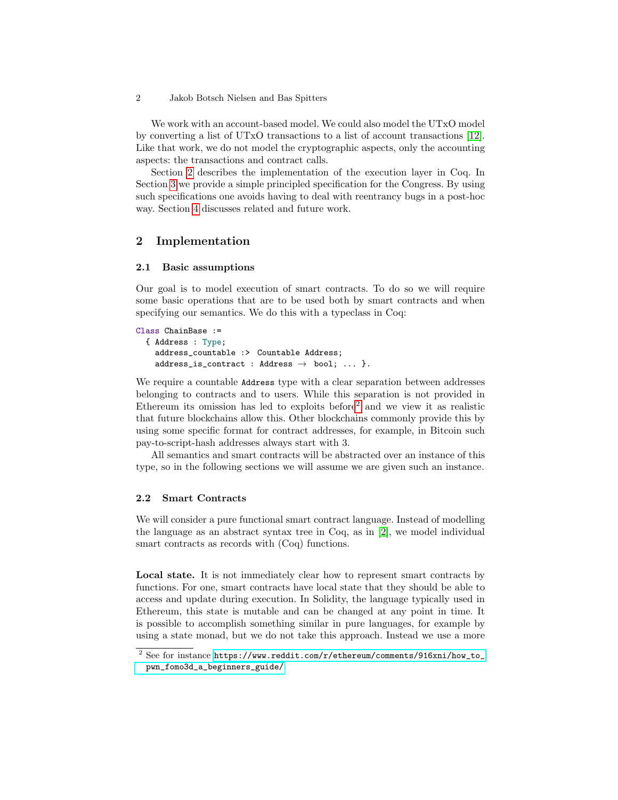We work with an account-based model. We could also model the UTxO model by converting a list of UTxO transactions to a list of account transactions [\[12\]](#page-11-0). Like that work, we do not model the cryptographic aspects, only the accounting aspects: the transactions and contract calls.

Section [2](#page-1-0) describes the implementation of the execution layer in Coq. In Section [3](#page-7-0) we provide a simple principled specification for the Congress. By using such specifications one avoids having to deal with reentrancy bugs in a post-hoc way. Section [4](#page-10-0) discusses related and future work.

## <span id="page-1-0"></span>2 Implementation

### 2.1 Basic assumptions

Our goal is to model execution of smart contracts. To do so we will require some basic operations that are to be used both by smart contracts and when specifying our semantics. We do this with a typeclass in Coq:

```
Class ChainBase :=
  { Address : Type;
    address_countable :> Countable Address;
    address_is\_contract : Address \rightarrow bool; ....
```
We require a countable Address type with a clear separation between addresses belonging to contracts and to users. While this separation is not provided in Ethereum its omission has led to exploits before<sup>[2](#page-1-1)</sup> and we view it as realistic that future blockchains allow this. Other blockchains commonly provide this by using some specific format for contract addresses, for example, in Bitcoin such pay-to-script-hash addresses always start with 3.

All semantics and smart contracts will be abstracted over an instance of this type, so in the following sections we will assume we are given such an instance.

### 2.2 Smart Contracts

We will consider a pure functional smart contract language. Instead of modelling the language as an abstract syntax tree in Coq, as in [\[2\]](#page-11-1), we model individual smart contracts as records with (Coq) functions.

Local state. It is not immediately clear how to represent smart contracts by functions. For one, smart contracts have local state that they should be able to access and update during execution. In Solidity, the language typically used in Ethereum, this state is mutable and can be changed at any point in time. It is possible to accomplish something similar in pure languages, for example by using a state monad, but we do not take this approach. Instead we use a more

<span id="page-1-1"></span> $^2$  See for instance [https://www.reddit.com/r/ethereum/comments/916xni/how\\_to\\_](https://www.reddit.com/r/ethereum/comments/916xni/how_to_pwn_fomo3d_a_beginners_guide/) [pwn\\_fomo3d\\_a\\_beginners\\_guide/](https://www.reddit.com/r/ethereum/comments/916xni/how_to_pwn_fomo3d_a_beginners_guide/)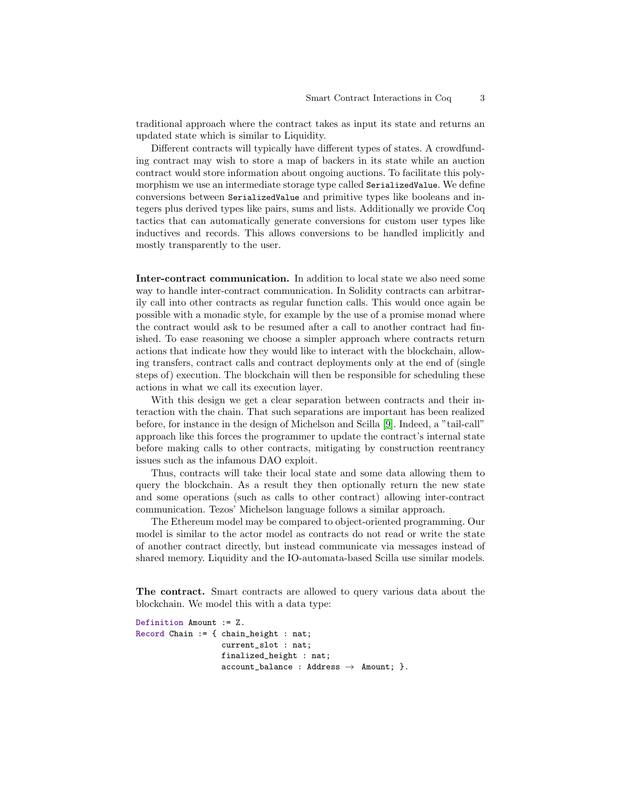traditional approach where the contract takes as input its state and returns an updated state which is similar to Liquidity.

Different contracts will typically have different types of states. A crowdfunding contract may wish to store a map of backers in its state while an auction contract would store information about ongoing auctions. To facilitate this polymorphism we use an intermediate storage type called SerializedValue. We define conversions between SerializedValue and primitive types like booleans and integers plus derived types like pairs, sums and lists. Additionally we provide Coq tactics that can automatically generate conversions for custom user types like inductives and records. This allows conversions to be handled implicitly and mostly transparently to the user.

Inter-contract communication. In addition to local state we also need some way to handle inter-contract communication. In Solidity contracts can arbitrarily call into other contracts as regular function calls. This would once again be possible with a monadic style, for example by the use of a promise monad where the contract would ask to be resumed after a call to another contract had finished. To ease reasoning we choose a simpler approach where contracts return actions that indicate how they would like to interact with the blockchain, allowing transfers, contract calls and contract deployments only at the end of (single steps of) execution. The blockchain will then be responsible for scheduling these actions in what we call its execution layer.

With this design we get a clear separation between contracts and their interaction with the chain. That such separations are important has been realized before, for instance in the design of Michelson and Scilla [\[9\]](#page-11-2). Indeed, a "tail-call" approach like this forces the programmer to update the contract's internal state before making calls to other contracts, mitigating by construction reentrancy issues such as the infamous DAO exploit.

Thus, contracts will take their local state and some data allowing them to query the blockchain. As a result they then optionally return the new state and some operations (such as calls to other contract) allowing inter-contract communication. Tezos' Michelson language follows a similar approach.

The Ethereum model may be compared to object-oriented programming. Our model is similar to the actor model as contracts do not read or write the state of another contract directly, but instead communicate via messages instead of shared memory. Liquidity and the IO-automata-based Scilla use similar models.

The contract. Smart contracts are allowed to query various data about the blockchain. We model this with a data type:

```
Definition Amount := Z.
Record Chain := { chain_height : nat;
                   current_slot : nat;
                   finalized_height : nat;
                   account\_balance : Address \rightarrow Amount; }.
```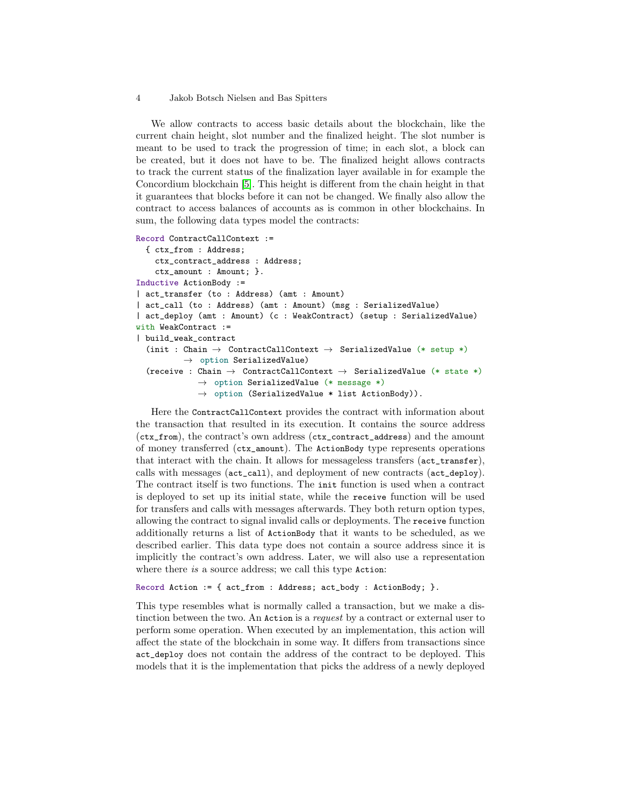We allow contracts to access basic details about the blockchain, like the current chain height, slot number and the finalized height. The slot number is meant to be used to track the progression of time; in each slot, a block can be created, but it does not have to be. The finalized height allows contracts to track the current status of the finalization layer available in for example the Concordium blockchain [\[5\]](#page-11-3). This height is different from the chain height in that it guarantees that blocks before it can not be changed. We finally also allow the contract to access balances of accounts as is common in other blockchains. In sum, the following data types model the contracts:

```
Record ContractCallContext :=
  { ctx_from : Address;
    ctx_contract_address : Address;
    ctx_amount : Amount; }.
Inductive ActionBody :=
| act_transfer (to : Address) (amt : Amount)
| act_call (to : Address) (amt : Amount) (msg : SerializedValue)
| act_deploy (amt : Amount) (c : WeakContract) (setup : SerializedValue)
with WeakContract :=
| build_weak_contract
  (init : Chain \rightarrow ContractCallContext \rightarrow SerializedValue (* setup *)
           \rightarrow option SerializedValue)
  (receive : Chain \rightarrow ContractCallContext \rightarrow SerializedValue (* state *)
              \rightarrow option SerializedValue (* message *)
              \rightarrow option (SerializedValue * list ActionBody)).
```
Here the ContractCallContext provides the contract with information about the transaction that resulted in its execution. It contains the source address (ctx\_from), the contract's own address (ctx\_contract\_address) and the amount of money transferred (ctx\_amount). The ActionBody type represents operations that interact with the chain. It allows for messageless transfers (act\_transfer), calls with messages (act\_call), and deployment of new contracts (act\_deploy). The contract itself is two functions. The init function is used when a contract is deployed to set up its initial state, while the receive function will be used for transfers and calls with messages afterwards. They both return option types, allowing the contract to signal invalid calls or deployments. The receive function additionally returns a list of ActionBody that it wants to be scheduled, as we described earlier. This data type does not contain a source address since it is implicitly the contract's own address. Later, we will also use a representation where there is a source address; we call this type Action:

#### Record Action := { act\_from : Address; act\_body : ActionBody; }.

This type resembles what is normally called a transaction, but we make a distinction between the two. An **Action** is a *request* by a contract or external user to perform some operation. When executed by an implementation, this action will affect the state of the blockchain in some way. It differs from transactions since act\_deploy does not contain the address of the contract to be deployed. This models that it is the implementation that picks the address of a newly deployed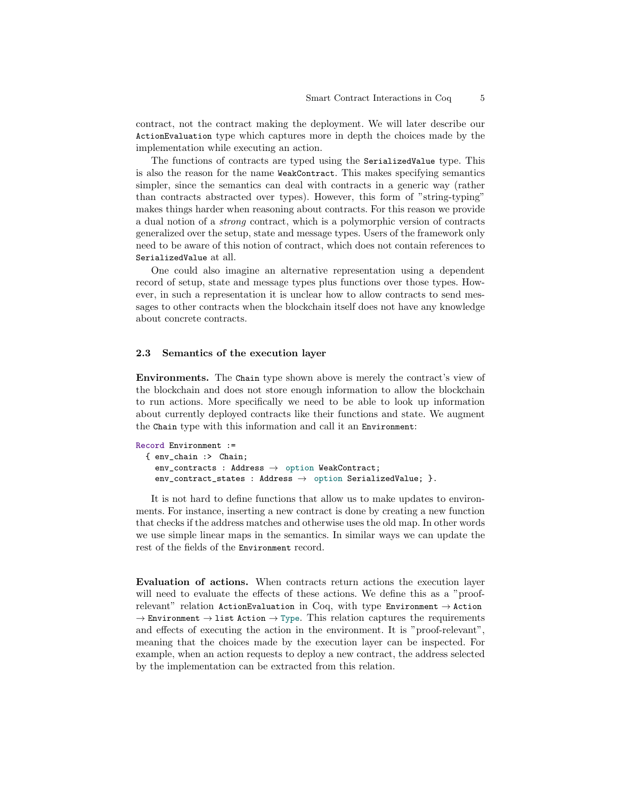contract, not the contract making the deployment. We will later describe our ActionEvaluation type which captures more in depth the choices made by the implementation while executing an action.

The functions of contracts are typed using the SerializedValue type. This is also the reason for the name WeakContract. This makes specifying semantics simpler, since the semantics can deal with contracts in a generic way (rather than contracts abstracted over types). However, this form of "string-typing" makes things harder when reasoning about contracts. For this reason we provide a dual notion of a strong contract, which is a polymorphic version of contracts generalized over the setup, state and message types. Users of the framework only need to be aware of this notion of contract, which does not contain references to SerializedValue at all.

One could also imagine an alternative representation using a dependent record of setup, state and message types plus functions over those types. However, in such a representation it is unclear how to allow contracts to send messages to other contracts when the blockchain itself does not have any knowledge about concrete contracts.

#### 2.3 Semantics of the execution layer

Environments. The Chain type shown above is merely the contract's view of the blockchain and does not store enough information to allow the blockchain to run actions. More specifically we need to be able to look up information about currently deployed contracts like their functions and state. We augment the Chain type with this information and call it an Environment:

```
Record Environment :=
  { env_chain :> Chain;
    env\_contrast: Address \rightarrow option WeakContract;
    env_{\text{contract}_\text{states}}: Address \rightarrow option SerializedValue; }.
```
It is not hard to define functions that allow us to make updates to environments. For instance, inserting a new contract is done by creating a new function that checks if the address matches and otherwise uses the old map. In other words we use simple linear maps in the semantics. In similar ways we can update the rest of the fields of the Environment record.

Evaluation of actions. When contracts return actions the execution layer will need to evaluate the effects of these actions. We define this as a "proofrelevant" relation ActionEvaluation in Coq, with type Environment  $\rightarrow$  Action  $\rightarrow$  Environment  $\rightarrow$  list Action  $\rightarrow$  Type. This relation captures the requirements and effects of executing the action in the environment. It is "proof-relevant", meaning that the choices made by the execution layer can be inspected. For example, when an action requests to deploy a new contract, the address selected by the implementation can be extracted from this relation.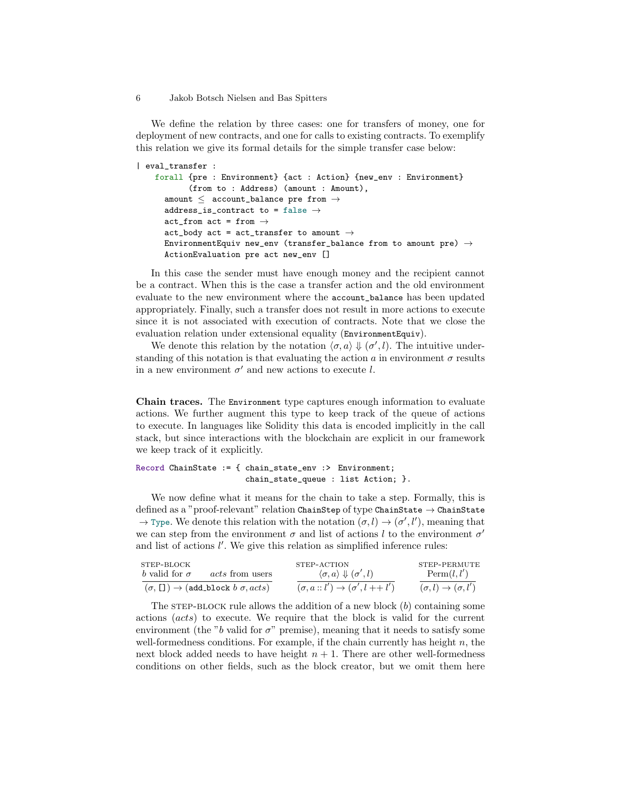We define the relation by three cases: one for transfers of money, one for deployment of new contracts, and one for calls to existing contracts. To exemplify this relation we give its formal details for the simple transfer case below:

```
| eval_transfer :
    forall {pre : Environment} {act : Action} {new_env : Environment}
            (from to : Address) (amount : Amount),
      amount \leq account_balance pre from \rightarrowaddress_is_contract to = false \rightarrowact\_from act = from \rightarrowact_body act = act_transfer to amount \rightarrowEnvironmentEquiv new_env (transfer_balance from to amount pre) \rightarrowActionEvaluation pre act new_env []
```
In this case the sender must have enough money and the recipient cannot be a contract. When this is the case a transfer action and the old environment evaluate to the new environment where the account\_balance has been updated appropriately. Finally, such a transfer does not result in more actions to execute since it is not associated with execution of contracts. Note that we close the evaluation relation under extensional equality (EnvironmentEquiv).

We denote this relation by the notation  $\langle \sigma, a \rangle \Downarrow (\sigma', l)$ . The intuitive understanding of this notation is that evaluating the action a in environment  $\sigma$  results in a new environment  $\sigma'$  and new actions to execute l.

Chain traces. The Environment type captures enough information to evaluate actions. We further augment this type to keep track of the queue of actions to execute. In languages like Solidity this data is encoded implicitly in the call stack, but since interactions with the blockchain are explicit in our framework we keep track of it explicitly.

Record ChainState :=  $\{$  chain\_state\_env :> Environment; chain\_state\_queue : list Action; }.

We now define what it means for the chain to take a step. Formally, this is defined as a "proof-relevant" relation ChainStep of type ChainState  $\rightarrow$  ChainState  $\rightarrow$  Type. We denote this relation with the notation  $(\sigma, l) \rightarrow (\sigma', l')$ , meaning that we can step from the environment  $\sigma$  and list of actions l to the environment  $\sigma'$ and list of actions  $l'$ . We give this relation as simplified inference rules:

| STEP-BLOCK                                             | STEP-ACTION                                         | STEP-PERMUTE                           |
|--------------------------------------------------------|-----------------------------------------------------|----------------------------------------|
| b valid for $\sigma$<br><i>acts</i> from users         | $\langle \sigma, a \rangle \Downarrow (\sigma', l)$ | $\text{Perm}(l, l')$                   |
| $(\sigma, []) \rightarrow (add\_block b \sigma, acts)$ | $(\sigma, a : l') \rightarrow (\sigma', l' + l')$   | $(\sigma, l) \rightarrow (\sigma, l')$ |

The STEP-BLOCK rule allows the addition of a new block  $(b)$  containing some actions (acts) to execute. We require that the block is valid for the current environment (the "b valid for  $\sigma$ " premise), meaning that it needs to satisfy some well-formedness conditions. For example, if the chain currently has height  $n$ , the next block added needs to have height  $n + 1$ . There are other well-formedness conditions on other fields, such as the block creator, but we omit them here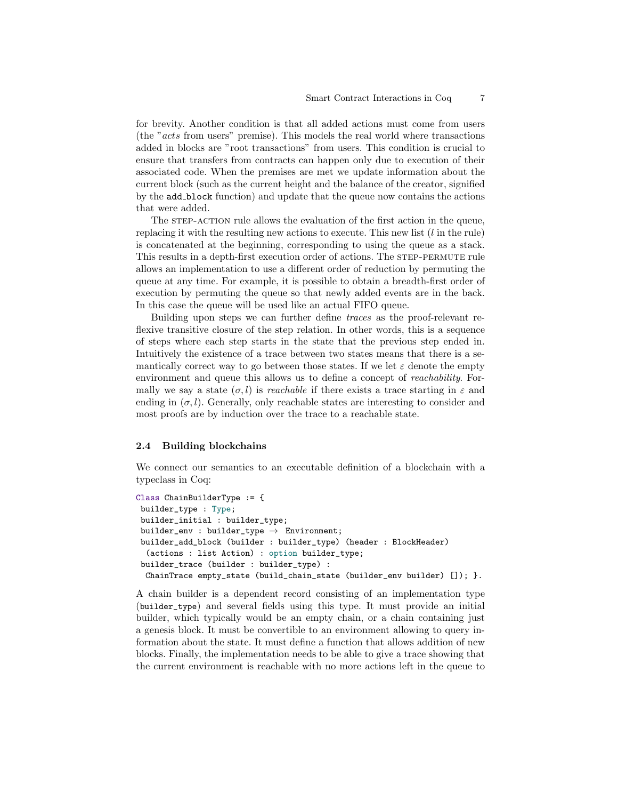for brevity. Another condition is that all added actions must come from users (the "acts from users" premise). This models the real world where transactions added in blocks are "root transactions" from users. This condition is crucial to ensure that transfers from contracts can happen only due to execution of their associated code. When the premises are met we update information about the current block (such as the current height and the balance of the creator, signified by the add block function) and update that the queue now contains the actions that were added.

The STEP-ACTION rule allows the evaluation of the first action in the queue, replacing it with the resulting new actions to execute. This new list  $(l \text{ in the rule})$ is concatenated at the beginning, corresponding to using the queue as a stack. This results in a depth-first execution order of actions. The STEP-PERMUTE rule allows an implementation to use a different order of reduction by permuting the queue at any time. For example, it is possible to obtain a breadth-first order of execution by permuting the queue so that newly added events are in the back. In this case the queue will be used like an actual FIFO queue.

Building upon steps we can further define traces as the proof-relevant reflexive transitive closure of the step relation. In other words, this is a sequence of steps where each step starts in the state that the previous step ended in. Intuitively the existence of a trace between two states means that there is a semantically correct way to go between those states. If we let  $\varepsilon$  denote the empty environment and queue this allows us to define a concept of reachability. Formally we say a state  $(\sigma, l)$  is *reachable* if there exists a trace starting in  $\varepsilon$  and ending in  $(\sigma, l)$ . Generally, only reachable states are interesting to consider and most proofs are by induction over the trace to a reachable state.

#### 2.4 Building blockchains

We connect our semantics to an executable definition of a blockchain with a typeclass in Coq:

```
Class ChainBuilderType := {
builder_type : Type;
builder_initial : builder_type;
builder_env : builder_type \rightarrow Environment;
builder_add_block (builder : builder_type) (header : BlockHeader)
  (actions : list Action) : option builder_type;
builder_trace (builder : builder_type) :
 ChainTrace empty_state (build_chain_state (builder_env builder) []); }.
```
A chain builder is a dependent record consisting of an implementation type (builder\_type) and several fields using this type. It must provide an initial builder, which typically would be an empty chain, or a chain containing just a genesis block. It must be convertible to an environment allowing to query information about the state. It must define a function that allows addition of new blocks. Finally, the implementation needs to be able to give a trace showing that the current environment is reachable with no more actions left in the queue to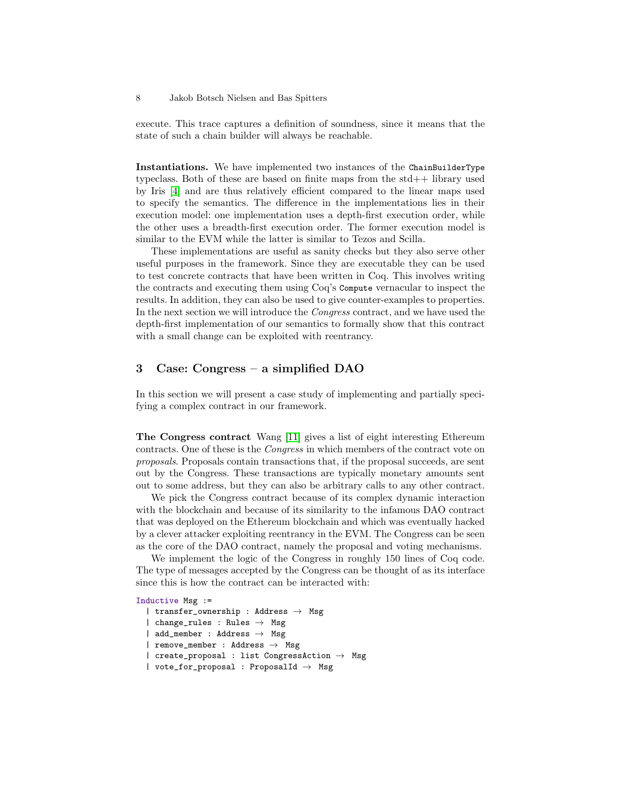execute. This trace captures a definition of soundness, since it means that the state of such a chain builder will always be reachable.

Instantiations. We have implemented two instances of the ChainBuilderType typeclass. Both of these are based on finite maps from the std++ library used by Iris [\[4\]](#page-11-4) and are thus relatively efficient compared to the linear maps used to specify the semantics. The difference in the implementations lies in their execution model: one implementation uses a depth-first execution order, while the other uses a breadth-first execution order. The former execution model is similar to the EVM while the latter is similar to Tezos and Scilla.

These implementations are useful as sanity checks but they also serve other useful purposes in the framework. Since they are executable they can be used to test concrete contracts that have been written in Coq. This involves writing the contracts and executing them using Coq's Compute vernacular to inspect the results. In addition, they can also be used to give counter-examples to properties. In the next section we will introduce the Congress contract, and we have used the depth-first implementation of our semantics to formally show that this contract with a small change can be exploited with reentrancy.

## <span id="page-7-0"></span>3 Case: Congress – a simplified DAO

In this section we will present a case study of implementing and partially specifying a complex contract in our framework.

The Congress contract Wang [\[11\]](#page-11-5) gives a list of eight interesting Ethereum contracts. One of these is the Congress in which members of the contract vote on proposals. Proposals contain transactions that, if the proposal succeeds, are sent out by the Congress. These transactions are typically monetary amounts sent out to some address, but they can also be arbitrary calls to any other contract.

We pick the Congress contract because of its complex dynamic interaction with the blockchain and because of its similarity to the infamous DAO contract that was deployed on the Ethereum blockchain and which was eventually hacked by a clever attacker exploiting reentrancy in the EVM. The Congress can be seen as the core of the DAO contract, namely the proposal and voting mechanisms.

We implement the logic of the Congress in roughly 150 lines of Coq code. The type of messages accepted by the Congress can be thought of as its interface since this is how the contract can be interacted with:

#### Inductive Msg :=

```
| transfer_ownership : Address \rightarrow Msg
| change_rules : Rules → Msg
| add_member : Address → Msg
| remove_member : Address → Msg
| create_proposal : list CongressAction \rightarrow Msg
| vote_for_proposal : ProposalId → Msg
```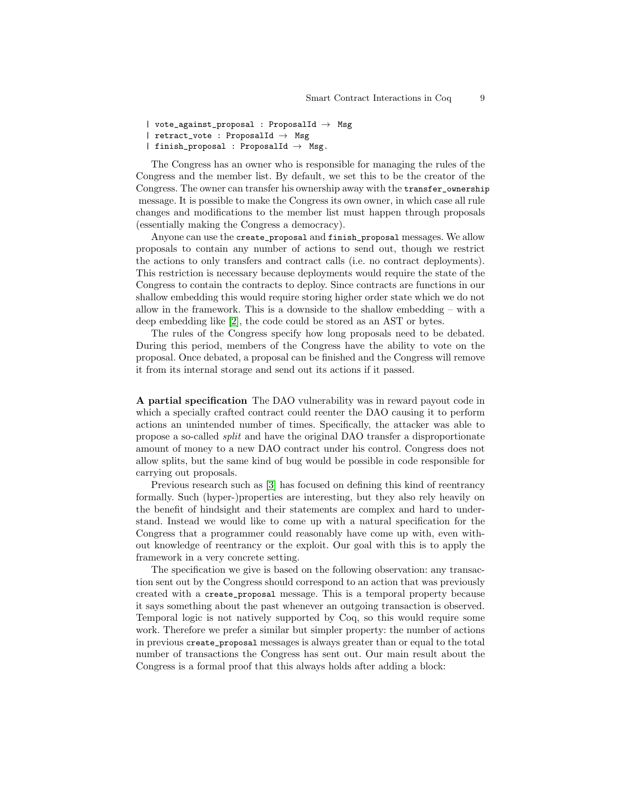```
\begin{tabular}{c} l\;\;vote\_against\_proposal \;\; : \;\; ProposalId \;\rightarrow \;\; Msg \end{tabular}
```
- | retract\_vote : ProposalId  $\rightarrow$  Msg
- | finish\_proposal : ProposalId  $\rightarrow$  Msg.

The Congress has an owner who is responsible for managing the rules of the Congress and the member list. By default, we set this to be the creator of the Congress. The owner can transfer his ownership away with the transfer\_ownership message. It is possible to make the Congress its own owner, in which case all rule changes and modifications to the member list must happen through proposals (essentially making the Congress a democracy).

Anyone can use the create\_proposal and finish\_proposal messages. We allow proposals to contain any number of actions to send out, though we restrict the actions to only transfers and contract calls (i.e. no contract deployments). This restriction is necessary because deployments would require the state of the Congress to contain the contracts to deploy. Since contracts are functions in our shallow embedding this would require storing higher order state which we do not allow in the framework. This is a downside to the shallow embedding – with a deep embedding like [\[2\]](#page-11-1), the code could be stored as an AST or bytes.

The rules of the Congress specify how long proposals need to be debated. During this period, members of the Congress have the ability to vote on the proposal. Once debated, a proposal can be finished and the Congress will remove it from its internal storage and send out its actions if it passed.

A partial specification The DAO vulnerability was in reward payout code in which a specially crafted contract could reenter the DAO causing it to perform actions an unintended number of times. Specifically, the attacker was able to propose a so-called split and have the original DAO transfer a disproportionate amount of money to a new DAO contract under his control. Congress does not allow splits, but the same kind of bug would be possible in code responsible for carrying out proposals.

Previous research such as [\[3\]](#page-11-6) has focused on defining this kind of reentrancy formally. Such (hyper-)properties are interesting, but they also rely heavily on the benefit of hindsight and their statements are complex and hard to understand. Instead we would like to come up with a natural specification for the Congress that a programmer could reasonably have come up with, even without knowledge of reentrancy or the exploit. Our goal with this is to apply the framework in a very concrete setting.

The specification we give is based on the following observation: any transaction sent out by the Congress should correspond to an action that was previously created with a create\_proposal message. This is a temporal property because it says something about the past whenever an outgoing transaction is observed. Temporal logic is not natively supported by Coq, so this would require some work. Therefore we prefer a similar but simpler property: the number of actions in previous create\_proposal messages is always greater than or equal to the total number of transactions the Congress has sent out. Our main result about the Congress is a formal proof that this always holds after adding a block: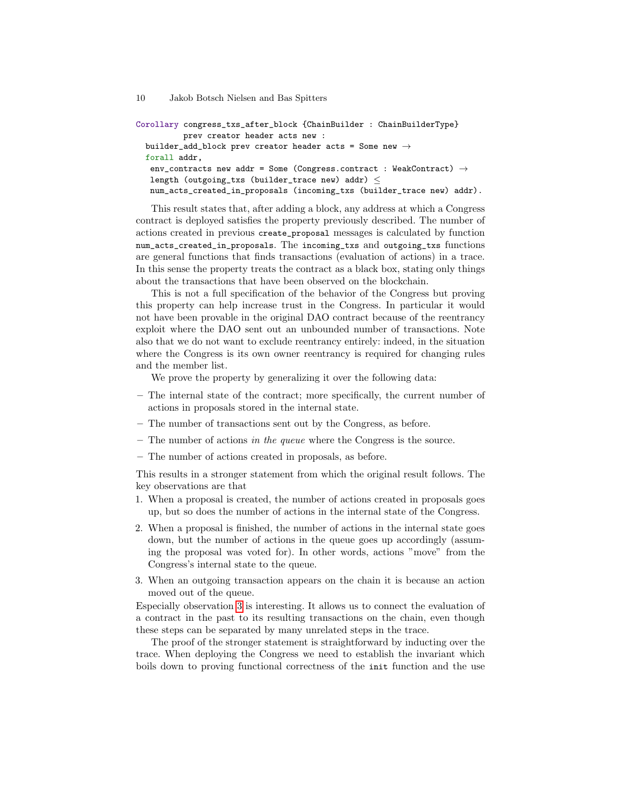```
Corollary congress_txs_after_block {ChainBuilder : ChainBuilderType}
          prev creator header acts new :
 builder_add_block prev creator header acts = Some new \rightarrowforall addr,
   env_contracts new addr = Some (Congress.contract : WeakContract) \rightarrowlength (outgoing_txs (builder_trace new) addr) <
   num_acts_created_in_proposals (incoming_txs (builder_trace new) addr).
```
This result states that, after adding a block, any address at which a Congress contract is deployed satisfies the property previously described. The number of actions created in previous create\_proposal messages is calculated by function num\_acts\_created\_in\_proposals. The incoming\_txs and outgoing\_txs functions are general functions that finds transactions (evaluation of actions) in a trace. In this sense the property treats the contract as a black box, stating only things about the transactions that have been observed on the blockchain.

This is not a full specification of the behavior of the Congress but proving this property can help increase trust in the Congress. In particular it would not have been provable in the original DAO contract because of the reentrancy exploit where the DAO sent out an unbounded number of transactions. Note also that we do not want to exclude reentrancy entirely: indeed, in the situation where the Congress is its own owner reentrancy is required for changing rules and the member list.

We prove the property by generalizing it over the following data:

- The internal state of the contract; more specifically, the current number of actions in proposals stored in the internal state.
- The number of transactions sent out by the Congress, as before.
- The number of actions in the queue where the Congress is the source.
- The number of actions created in proposals, as before.

This results in a stronger statement from which the original result follows. The key observations are that

- 1. When a proposal is created, the number of actions created in proposals goes up, but so does the number of actions in the internal state of the Congress.
- 2. When a proposal is finished, the number of actions in the internal state goes down, but the number of actions in the queue goes up accordingly (assuming the proposal was voted for). In other words, actions "move" from the Congress's internal state to the queue.
- <span id="page-9-0"></span>3. When an outgoing transaction appears on the chain it is because an action moved out of the queue.

Especially observation [3](#page-9-0) is interesting. It allows us to connect the evaluation of a contract in the past to its resulting transactions on the chain, even though these steps can be separated by many unrelated steps in the trace.

The proof of the stronger statement is straightforward by inducting over the trace. When deploying the Congress we need to establish the invariant which boils down to proving functional correctness of the init function and the use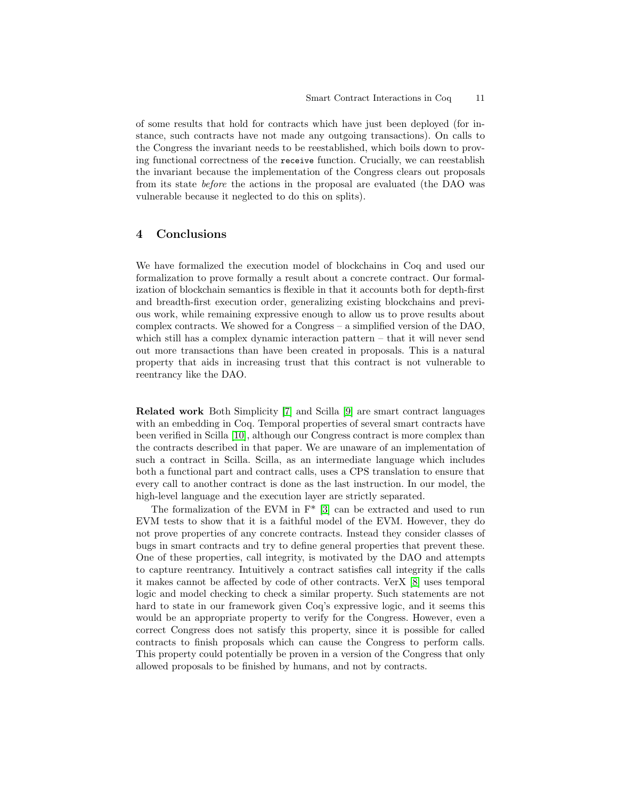of some results that hold for contracts which have just been deployed (for instance, such contracts have not made any outgoing transactions). On calls to the Congress the invariant needs to be reestablished, which boils down to proving functional correctness of the receive function. Crucially, we can reestablish the invariant because the implementation of the Congress clears out proposals from its state before the actions in the proposal are evaluated (the DAO was vulnerable because it neglected to do this on splits).

## <span id="page-10-0"></span>4 Conclusions

We have formalized the execution model of blockchains in Coq and used our formalization to prove formally a result about a concrete contract. Our formalization of blockchain semantics is flexible in that it accounts both for depth-first and breadth-first execution order, generalizing existing blockchains and previous work, while remaining expressive enough to allow us to prove results about complex contracts. We showed for a Congress – a simplified version of the DAO, which still has a complex dynamic interaction pattern – that it will never send out more transactions than have been created in proposals. This is a natural property that aids in increasing trust that this contract is not vulnerable to reentrancy like the DAO.

Related work Both Simplicity [\[7\]](#page-11-7) and Scilla [\[9\]](#page-11-2) are smart contract languages with an embedding in Coq. Temporal properties of several smart contracts have been verified in Scilla [\[10\]](#page-11-8), although our Congress contract is more complex than the contracts described in that paper. We are unaware of an implementation of such a contract in Scilla. Scilla, as an intermediate language which includes both a functional part and contract calls, uses a CPS translation to ensure that every call to another contract is done as the last instruction. In our model, the high-level language and the execution layer are strictly separated.

The formalization of the EVM in F\* [\[3\]](#page-11-6) can be extracted and used to run EVM tests to show that it is a faithful model of the EVM. However, they do not prove properties of any concrete contracts. Instead they consider classes of bugs in smart contracts and try to define general properties that prevent these. One of these properties, call integrity, is motivated by the DAO and attempts to capture reentrancy. Intuitively a contract satisfies call integrity if the calls it makes cannot be affected by code of other contracts. VerX [\[8\]](#page-11-9) uses temporal logic and model checking to check a similar property. Such statements are not hard to state in our framework given Coq's expressive logic, and it seems this would be an appropriate property to verify for the Congress. However, even a correct Congress does not satisfy this property, since it is possible for called contracts to finish proposals which can cause the Congress to perform calls. This property could potentially be proven in a version of the Congress that only allowed proposals to be finished by humans, and not by contracts.